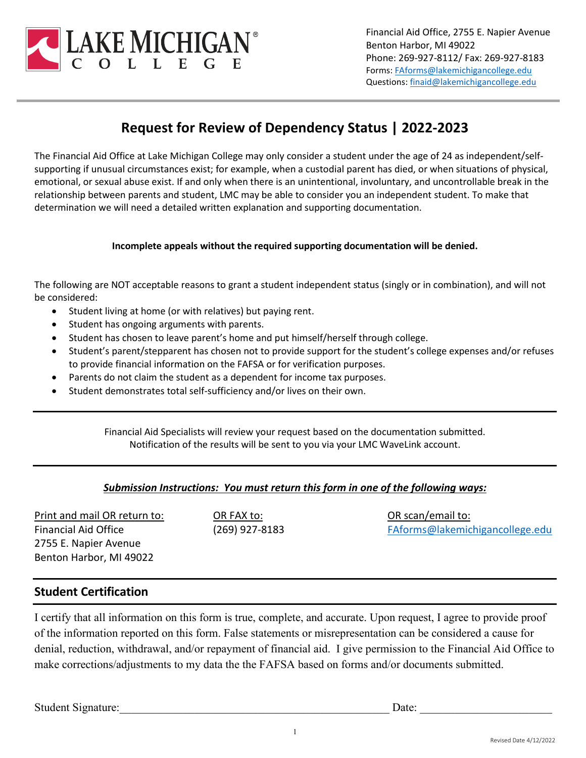

Financial Aid Office, 2755 E. Napier Avenue Benton Harbor, MI 49022 Phone: 269-927-8112/ Fax: 269-927-8183 Forms[: FAforms@lakemichigancollege.edu](mailto:FAforms@lakemichigancollege.edu) Questions[: finaid@lakemichigancollege.edu](mailto:finaid@lakemichigancollege.edu)

# **Request for Review of Dependency Status | 2022-2023**

The Financial Aid Office at Lake Michigan College may only consider a student under the age of 24 as independent/selfsupporting if unusual circumstances exist; for example, when a custodial parent has died, or when situations of physical, emotional, or sexual abuse exist. If and only when there is an unintentional, involuntary, and uncontrollable break in the relationship between parents and student, LMC may be able to consider you an independent student. To make that determination we will need a detailed written explanation and supporting documentation.

## **Incomplete appeals without the required supporting documentation will be denied.**

The following are NOT acceptable reasons to grant a student independent status (singly or in combination), and will not be considered:

- Student living at home (or with relatives) but paying rent.
- Student has ongoing arguments with parents.
- Student has chosen to leave parent's home and put himself/herself through college.
- Student's parent/stepparent has chosen not to provide support for the student's college expenses and/or refuses to provide financial information on the FAFSA or for verification purposes.
- Parents do not claim the student as a dependent for income tax purposes.
- Student demonstrates total self-sufficiency and/or lives on their own.

Financial Aid Specialists will review your request based on the documentation submitted. Notification of the results will be sent to you via your LMC WaveLink account.

# *Submission Instructions: You must return this form in one of the following ways:*

Print and mail OR return to: Financial Aid Office 2755 E. Napier Avenue Benton Harbor, MI 49022

OR FAX to: (269) 927-8183 OR scan/email to: [FAforms@lakemichigancollege.edu](mailto:FAforms@lakemichigancollege.edu)

# **Student Certification**

I certify that all information on this form is true, complete, and accurate. Upon request, I agree to provide proof of the information reported on this form. False statements or misrepresentation can be considered a cause for denial, reduction, withdrawal, and/or repayment of financial aid. I give permission to the Financial Aid Office to make corrections/adjustments to my data the the FAFSA based on forms and/or documents submitted.

Student Signature: <u>Date:</u>  $\Box$